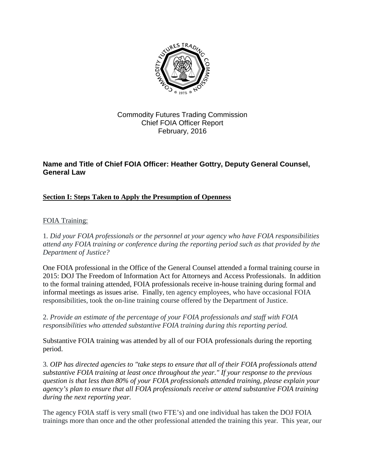

## Commodity Futures Trading Commission Chief FOIA Officer Report February, 2016

# **Name and Title of Chief FOIA Officer: Heather Gottry, Deputy General Counsel, General Law**

## **Section I: Steps Taken to Apply the Presumption of Openness**

### FOIA Training:

1*. Did your FOIA professionals or the personnel at your agency who have FOIA responsibilities attend any FOIA training or conference during the reporting period such as that provided by the Department of Justice?*

One FOIA professional in the Office of the General Counsel attended a formal training course in 2015: DOJ The Freedom of Information Act for Attorneys and Access Professionals. In addition to the formal training attended, FOIA professionals receive in-house training during formal and informal meetings as issues arise. Finally, ten agency employees, who have occasional FOIA responsibilities, took the on-line training course offered by the Department of Justice.

2. *Provide an estimate of the percentage of your FOIA professionals and staff with FOIA responsibilities who attended substantive FOIA training during this reporting period.*

Substantive FOIA training was attended by all of our FOIA professionals during the reporting period.

3*. OIP has [directed agencies](http://www.justice.gov/oip/oip-guidance-9) to "take steps to ensure that all of their FOIA professionals attend substantive FOIA training at least once throughout the year." If your response to the previous question is that less than 80% of your FOIA professionals attended training, please explain your agency's plan to ensure that all FOIA professionals receive or attend substantive FOIA training during the next reporting year.*

The agency FOIA staff is very small (two FTE's) and one individual has taken the DOJ FOIA trainings more than once and the other professional attended the training this year. This year, our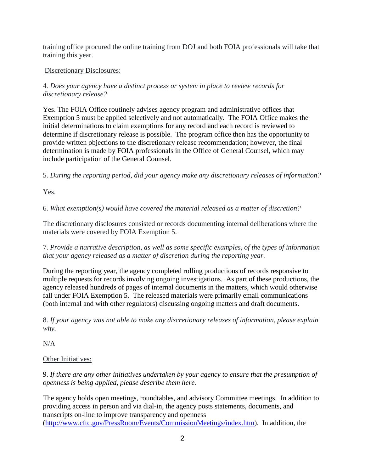training office procured the online training from DOJ and both FOIA professionals will take that training this year.

# Discretionary Disclosures:

4. *Does your agency have a distinct process or system in place to review records for discretionary release?*

Yes. The FOIA Office routinely advises agency program and administrative offices that Exemption 5 must be applied selectively and not automatically. The FOIA Office makes the initial determinations to claim exemptions for any record and each record is reviewed to determine if discretionary release is possible. The program office then has the opportunity to provide written objections to the discretionary release recommendation; however, the final determination is made by FOIA professionals in the Office of General Counsel, which may include participation of the General Counsel.

5. *During the reporting period, did your agency make any discretionary releases of information?*

Yes.

6. *What exemption(s) would have covered the material released as a matter of discretion?*

The discretionary disclosures consisted or records documenting internal deliberations where the materials were covered by FOIA Exemption 5.

7. *Provide a narrative description, as well as some specific examples, of the types of information that your agency released as a matter of discretion during the reporting year.*

During the reporting year, the agency completed rolling productions of records responsive to multiple requests for records involving ongoing investigations. As part of these productions, the agency released hundreds of pages of internal documents in the matters, which would otherwise fall under FOIA Exemption 5. The released materials were primarily email communications (both internal and with other regulators) discussing ongoing matters and draft documents.

8. *If your agency was not able to make any discretionary releases of information, please explain why.*

N/A

## Other Initiatives:

9. *If there are any other initiatives undertaken by your agency to ensure that the presumption of openness is being applied, please describe them here.*

The agency holds open meetings, roundtables, and advisory Committee meetings. In addition to providing access in person and via dial-in, the agency posts statements, documents, and transcripts on-line to improve transparency and openness [\(http://www.cftc.gov/PressRoom/Events/CommissionMeetings/index.htm\)](http://www.cftc.gov/PressRoom/Events/CommissionMeetings/index.htm). In addition, the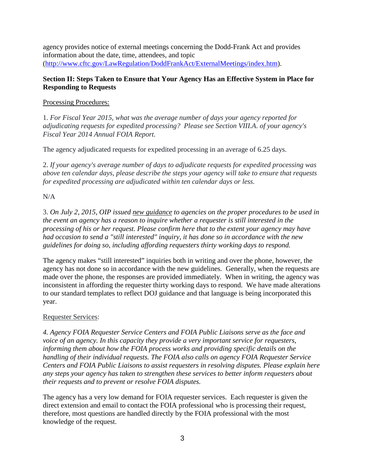agency provides notice of external meetings concerning the Dodd-Frank Act and provides information about the date, time, attendees, and topic [\(http://www.cftc.gov/LawRegulation/DoddFrankAct/ExternalMeetings/index.htm\)](http://www.cftc.gov/LawRegulation/DoddFrankAct/ExternalMeetings/index.htm).

### **Section II: Steps Taken to Ensure that Your Agency Has an Effective System in Place for Responding to Requests**

### Processing Procedures:

1. *For Fiscal Year 2015, what was the average number of days your agency reported for adjudicating requests for expedited processing? Please see Section VIII.A. of your agency's Fiscal Year 2014 Annual FOIA Report.*

The agency adjudicated requests for expedited processing in an average of 6.25 days.

2. *If your agency's average number of days to adjudicate requests for expedited processing was above ten calendar days, please describe the steps your agency will take to ensure that requests for expedited processing are adjudicated within ten calendar days or less.*

## N/A

3. *On July 2, 2015, OIP issued [new guidance](http://www.justice.gov/oip/oip-guidance-8) to agencies on the proper procedures to be used in the event an agency has a reason to inquire whether a requester is still interested in the processing of his or her request. Please confirm here that to the extent your agency may have had occasion to send a "still interested" inquiry, it has done so in accordance with the new guidelines for doing so, including affording requesters thirty working days to respond.*

The agency makes "still interested" inquiries both in writing and over the phone, however, the agency has not done so in accordance with the new guidelines. Generally, when the requests are made over the phone, the responses are provided immediately. When in writing, the agency was inconsistent in affording the requester thirty working days to respond. We have made alterations to our standard templates to reflect DOJ guidance and that language is being incorporated this year.

### Requester Services:

*4. Agency FOIA Requester Service Centers and FOIA Public Liaisons serve as the face and voice of an agency. In this capacity they provide a very important service for requesters, informing them about how the FOIA process works and providing specific details on the handling of their individual requests. The FOIA also calls on agency FOIA Requester Service Centers and FOIA Public Liaisons to assist requesters in resolving disputes. Please explain here any steps your agency has taken to strengthen these services to better inform requesters about their requests and to prevent or resolve FOIA disputes.*

The agency has a very low demand for FOIA requester services. Each requester is given the direct extension and email to contact the FOIA professional who is processing their request, therefore, most questions are handled directly by the FOIA professional with the most knowledge of the request.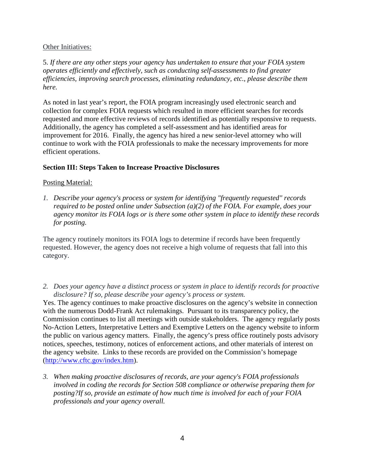#### Other Initiatives:

5. *If there are any other steps your agency has undertaken to ensure that your FOIA system operates efficiently and effectively, such as conducting self-assessments to find greater efficiencies, improving search processes, eliminating redundancy, etc., please describe them here.*

As noted in last year's report, the FOIA program increasingly used electronic search and collection for complex FOIA requests which resulted in more efficient searches for records requested and more effective reviews of records identified as potentially responsive to requests. Additionally, the agency has completed a self-assessment and has identified areas for improvement for 2016. Finally, the agency has hired a new senior-level attorney who will continue to work with the FOIA professionals to make the necessary improvements for more efficient operations.

### **Section III: Steps Taken to Increase Proactive Disclosures**

#### Posting Material:

*1. Describe your agency's process or system for identifying "frequently requested" records required to be posted online under Subsection (a)(2) of the FOIA. For example, does your agency monitor its FOIA logs or is there some other system in place to identify these records for posting.*

The agency routinely monitors its FOIA logs to determine if records have been frequently requested. However, the agency does not receive a high volume of requests that fall into this category.

*2. Does your agency have a distinct process or system in place to identify records for proactive disclosure? If so, please describe your agency's process or system.*

Yes. The agency continues to make proactive disclosures on the agency's website in connection with the numerous Dodd-Frank Act rulemakings. Pursuant to its transparency policy, the Commission continues to list all meetings with outside stakeholders. The agency regularly posts No-Action Letters, Interpretative Letters and Exemptive Letters on the agency website to inform the public on various agency matters. Finally, the agency's press office routinely posts advisory notices, speeches, testimony, notices of enforcement actions, and other materials of interest on the agency website. Links to these records are provided on the Commission's homepage [\(http://www.cftc.gov/index.htm\)](http://www.cftc.gov/index.htm).

*3. When making proactive disclosures of records, are your agency's FOIA professionals involved in coding the records for Section 508 compliance or otherwise preparing them for posting?If so, provide an estimate of how much time is involved for each of your FOIA professionals and your agency overall.*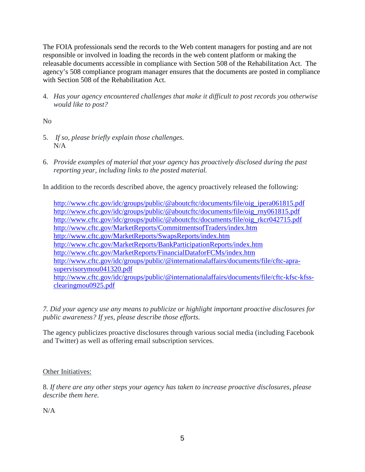The FOIA professionals send the records to the Web content managers for posting and are not responsible or involved in loading the records in the web content platform or making the releasable documents accessible in compliance with Section 508 of the Rehabilitation Act. The agency's 508 compliance program manager ensures that the documents are posted in compliance with Section 508 of the Rehabilitation Act.

4. *Has your agency encountered challenges that make it difficult to post records you otherwise would like to post?*

No

- 5. *If so, please briefly explain those challenges.* N/A
- 6. *Provide examples of material that your agency has proactively disclosed during the past reporting year, including links to the posted material.*

In addition to the records described above, the agency proactively released the following:

[http://www.cftc.gov/idc/groups/public/@aboutcftc/documents/file/oig\\_ipera061815.pdf](http://www.cftc.gov/idc/groups/public/@aboutcftc/documents/file/oig_ipera061815.pdf) [http://www.cftc.gov/idc/groups/public/@aboutcftc/documents/file/oig\\_rny061815.pdf](http://www.cftc.gov/idc/groups/public/@aboutcftc/documents/file/oig_rny061815.pdf) [http://www.cftc.gov/idc/groups/public/@aboutcftc/documents/file/oig\\_rkcr042715.pdf](http://www.cftc.gov/idc/groups/public/@aboutcftc/documents/file/oig_rkcr042715.pdf) <http://www.cftc.gov/MarketReports/CommitmentsofTraders/index.htm> <http://www.cftc.gov/MarketReports/SwapsReports/index.htm> <http://www.cftc.gov/MarketReports/BankParticipationReports/index.htm> <http://www.cftc.gov/MarketReports/FinancialDataforFCMs/index.htm> [http://www.cftc.gov/idc/groups/public/@internationalaffairs/documents/file/cftc-apra](http://www.cftc.gov/idc/groups/public/@internationalaffairs/documents/file/cftc-apra-supervisorymou041320.pdf)[supervisorymou041320.pdf](http://www.cftc.gov/idc/groups/public/@internationalaffairs/documents/file/cftc-apra-supervisorymou041320.pdf) [http://www.cftc.gov/idc/groups/public/@internationalaffairs/documents/file/cftc-kfsc-kfss](http://www.cftc.gov/idc/groups/public/@internationalaffairs/documents/file/cftc-kfsc-kfss-clearingmou0925.pdf)[clearingmou0925.pdf](http://www.cftc.gov/idc/groups/public/@internationalaffairs/documents/file/cftc-kfsc-kfss-clearingmou0925.pdf)

*7. Did your agency use any means to publicize or highlight important proactive disclosures for public awareness? If yes, please describe those efforts.*

The agency publicizes proactive disclosures through various social media (including Facebook and Twitter) as well as offering email subscription services.

## Other Initiatives:

8. *If there are any other steps your agency has taken to increase proactive disclosures, please describe them here.*

N/A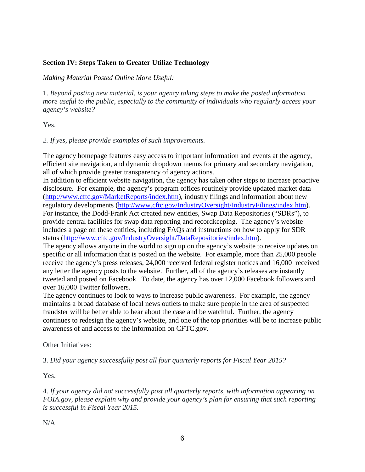### **Section IV: Steps Taken to Greater Utilize Technology**

#### *Making Material Posted Online More Useful:*

1. *Beyond posting new material, is your agency taking steps to make the posted information more useful to the public, especially to the community of individuals who regularly access your agency's website?*

Yes.

#### *2. If yes, please provide examples of such improvements.*

The agency homepage features easy access to important information and events at the agency, efficient site navigation, and dynamic dropdown menus for primary and secondary navigation, all of which provide greater transparency of agency actions.

In addition to efficient website navigation, the agency has taken other steps to increase proactive disclosure. For example, the agency's program offices routinely provide updated market data [\(http://www.cftc.gov/MarketReports/index.htm\)](http://www.cftc.gov/MarketReports/index.htm), industry filings and information about new regulatory developments [\(http://www.cftc.gov/IndustryOversight/IndustryFilings/index.htm\)](http://www.cftc.gov/IndustryOversight/IndustryFilings/index.htm). For instance, the Dodd-Frank Act created new entities, Swap Data Repositories ("SDRs"), to provide central facilities for swap data reporting and recordkeeping. The agency's website includes a page on these entities, including FAQs and instructions on how to apply for SDR status [\(http://www.cftc.gov/IndustryOversight/DataRepositories/index.htm\)](http://www.cftc.gov/IndustryOversight/DataRepositories/index.htm).

The agency allows anyone in the world to sign up on the agency's website to receive updates on specific or all information that is posted on the website. For example, more than 25,000 people receive the agency's press releases, 24,000 received federal register notices and 16,000 received any letter the agency posts to the website. Further, all of the agency's releases are instantly tweeted and posted on Facebook. To date, the agency has over 12,000 Facebook followers and over 16,000 Twitter followers.

The agency continues to look to ways to increase public awareness. For example, the agency maintains a broad database of local news outlets to make sure people in the area of suspected fraudster will be better able to hear about the case and be watchful. Further, the agency continues to redesign the agency's website, and one of the top priorities will be to increase public awareness of and access to the information on CFTC.gov.

#### Other Initiatives:

3. *Did your agency successfully post all four quarterly reports for Fiscal Year 2015?*

Yes.

4. *If your agency did not successfully post all quarterly reports, with information appearing on FOIA.gov, please explain why and provide your agency's plan for ensuring that such reporting is successful in Fiscal Year 2015.*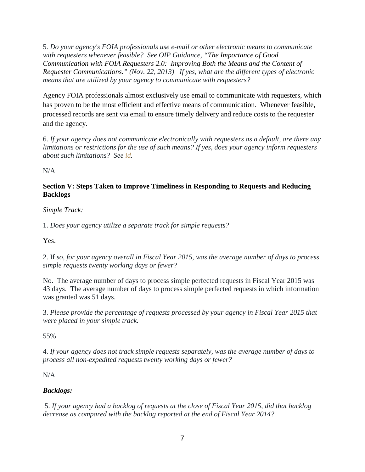5. *Do your agency's FOIA professionals use e-mail or other electronic means to communicate with requesters whenever feasible? See OIP Guidance, ["The Importance of Good](http://www.justice.gov/oip/foiapost/2013foiapost06.html)  Communication with FOIA Requesters 2.0: [Improving Both the Means and the Content of](http://www.justice.gov/oip/foiapost/2013foiapost06.html)  Requester [Communications.](http://www.justice.gov/oip/foiapost/2013foiapost06.html)" (Nov. 22, 2013) If yes, what are the different types of electronic means that are utilized by your agency to communicate with requesters?*

Agency FOIA professionals almost exclusively use email to communicate with requesters, which has proven to be the most efficient and effective means of communication. Whenever feasible, processed records are sent via email to ensure timely delivery and reduce costs to the requester and the agency.

6. *If your agency does not communicate electronically with requesters as a default, are there any limitations or restrictions for the use of such means? If yes, does your agency inform requesters about such limitations? See [id.](http://www.justice.gov/oip/foiapost/2013foiapost06.html)*

N/A

### **Section V: Steps Taken to Improve Timeliness in Responding to Requests and Reducing Backlogs**

## *Simple Track:*

1. *Does your agency utilize a separate track for simple requests?*

Yes.

2. If *so, for your agency overall in Fiscal Year 2015, was the average number of days to process simple requests twenty working days or fewer?*

No. The average number of days to process simple perfected requests in Fiscal Year 2015 was 43 days. The average number of days to process simple perfected requests in which information was granted was 51 days.

3. *Please provide the percentage of requests processed by your agency in Fiscal Year 2015 that were placed in your simple track.*

55%

4. *If your agency does not track simple requests separately, was the average number of days to process all non-expedited requests twenty working days or fewer?*

N/A

# *Backlogs:*

5. *If your agency had a backlog of requests at the close of Fiscal Year 2015, did that backlog decrease as compared with the backlog reported at the end of Fiscal Year 2014?*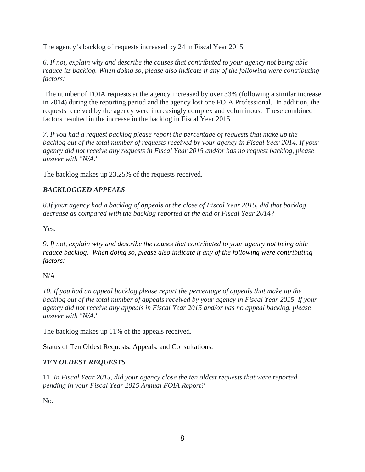The agency's backlog of requests increased by 24 in Fiscal Year 2015

*6. If not, explain why and describe the causes that contributed to your agency not being able reduce its backlog. When doing so, please also indicate if any of the following were contributing factors:*

The number of FOIA requests at the agency increased by over 33% (following a similar increase in 2014) during the reporting period and the agency lost one FOIA Professional. In addition, the requests received by the agency were increasingly complex and voluminous. These combined factors resulted in the increase in the backlog in Fiscal Year 2015.

*7. If you had a request backlog please report the percentage of requests that make up the backlog out of the total number of requests received by your agency in Fiscal Year 2014. If your agency did not receive any requests in Fiscal Year 2015 and/or has no request backlog, please answer with "N/A."*

The backlog makes up 23.25% of the requests received.

# *BACKLOGGED APPEALS*

*8.If your agency had a backlog of appeals at the close of Fiscal Year 2015, did that backlog decrease as compared with the backlog reported at the end of Fiscal Year 2014?*

Yes.

*9. If not, explain why and describe the causes that contributed to your agency not being able reduce backlog. When doing so, please also indicate if any of the following were contributing factors:*

## N/A

*10. If you had an appeal backlog please report the percentage of appeals that make up the backlog out of the total number of appeals received by your agency in Fiscal Year 2015. If your agency did not receive any appeals in Fiscal Year 2015 and/or has no appeal backlog, please answer with "N/A."*

The backlog makes up 11% of the appeals received.

## Status of Ten Oldest Requests, Appeals, and Consultations:

## *TEN OLDEST REQUESTS*

11. *In Fiscal Year 2015, did your agency close the ten oldest requests that were reported pending in your Fiscal Year 2015 Annual FOIA Report?*

No.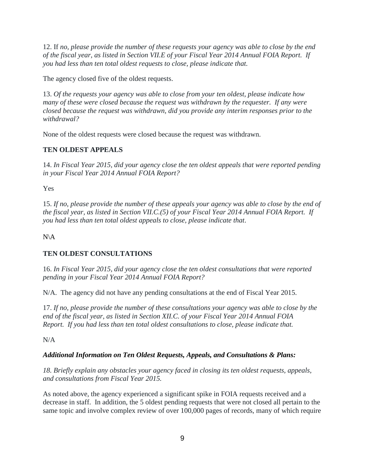12. If *no, please provide the number of these requests your agency was able to close by the end of the fiscal year, as listed in Section VII.E of your Fiscal Year 2014 Annual FOIA Report. If you had less than ten total oldest requests to close, please indicate that.*

The agency closed five of the oldest requests.

13. *Of the requests your agency was able to close from your ten oldest, please indicate how many of these were closed because the request was withdrawn by the requester. If any were closed because the request was withdrawn, did you provide any interim responses prior to the withdrawal?*

None of the oldest requests were closed because the request was withdrawn.

# **TEN OLDEST APPEALS**

14. *In Fiscal Year 2015, did your agency close the ten oldest appeals that were reported pending in your Fiscal Year 2014 Annual FOIA Report?*

Yes

15. *If no, please provide the number of these appeals your agency was able to close by the end of the fiscal year, as listed in Section VII.C.(5) of your Fiscal Year 2014 Annual FOIA Report. If you had less than ten total oldest appeals to close, please indicate that*.

 $N\setminus A$ 

## **TEN OLDEST CONSULTATIONS**

16. *In Fiscal Year 2015, did your agency close the ten oldest consultations that were reported pending in your Fiscal Year 2014 Annual FOIA Report?*

N/A. The agency did not have any pending consultations at the end of Fiscal Year 2015.

17. *If no, please provide the number of these consultations your agency was able to close by the end of the fiscal year, as listed in Section XII.C. of your Fiscal Year 2014 Annual FOIA Report. If you had less than ten total oldest consultations to close, please indicate that.*

N/A

## *Additional Information on Ten Oldest Requests, Appeals, and Consultations & Plans:*

*18. Briefly explain any obstacles your agency faced in closing its ten oldest requests, appeals, and consultations from Fiscal Year 2015.*

As noted above, the agency experienced a significant spike in FOIA requests received and a decrease in staff. In addition, the 5 oldest pending requests that were not closed all pertain to the same topic and involve complex review of over 100,000 pages of records, many of which require